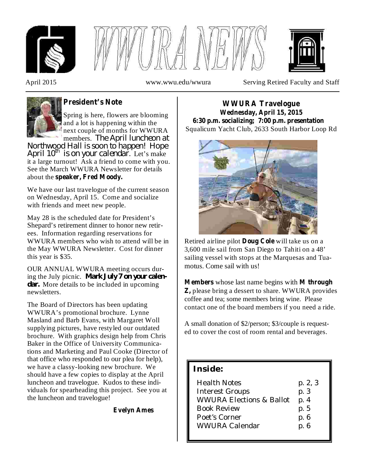





April 2015 www.wwu.edu/wwura Serving Retired Faculty and Staff



# **President's Note**

Spring is here, flowers are blooming and a lot is happening within the next couple of months for WWURA members. *The April luncheon at*

April  $10^{th}$  is on your calendar. Let's make it a large turnout! Ask a friend to come with you. See the March WWURA Newsletter for details about the **speaker, Fred Moody.** *Northwood Hall is soon to happen! Hope*

We have our last travelogue of the current season on Wednesday, April 15. Come and socialize with friends and meet new people.

May 28 is the scheduled date for President's Shepard's retirement dinner to honor new retirees. Information regarding reservations for WWURA members who wish to attend will be in the May WWURA Newsletter. Cost for dinner this year is \$35.

OUR ANNUAL WWURA meeting occurs during the July picnic. *Mark July 7 on your calen*dar. More details to be included in upcoming newsletters.

The Board of Directors has been updating WWURA's promotional brochure. Lynne Masland and Barb Evans, with Margaret Woll supplying pictures, have restyled our outdated brochure. With graphics design help from Chris Baker in the Office of University Communications and Marketing and Paul Cooke (Director of that office who responded to our plea for help), we have a classy-looking new brochure. We should have a few copies to display at the April luncheon and travelogue. Kudos to these individuals for spearheading this project. See you at the luncheon and travelogue!

**Evelyn Ames**

Squalicum Yacht Club, 2633 South Harbor Loop Rd **WWURA Travelogue Wednesday, April 15, 2015 6:30 p.m. socializing; 7:00 p.m. presentation**



Retired airline pilot **Doug Cole** will take us on a 3,600 mile sail from San Diego to Tahiti on a 48' sailing vessel with stops at the Marquesas and Tuamotus. Come sail with us!

**Members** whose last name begins with **M** through **Z**, please bring a dessert to share. WWURA provides coffee and tea; some members bring wine. Please contact one of the board members if you need a ride.

A small donation of \$2/person; \$3/couple is requested to cover the cost of room rental and beverages.

## **Inside:**

| <b>Health Notes</b>                 | p. 2, 3 |
|-------------------------------------|---------|
| <b>Interest Groups</b>              | p. 3    |
| <b>WWURA Elections &amp; Ballot</b> | p. 4    |
| <b>Book Review</b>                  | p. 5    |
| Poet's Corner                       | p. 6    |
| WWURA Calendar                      | p. 6    |
|                                     |         |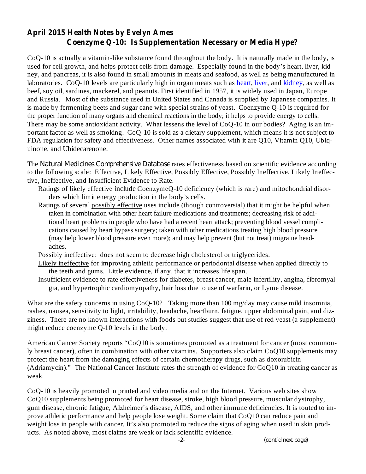## **April 2015 Health Notes by Evelyn Ames Coenzyme Q-10: Is Supplementation Necessary or Media Hype?**

CoQ-10 is actually a vitamin-like substance found throughout the body. It is naturally made in the body, is used for cell growth, and helps protect cells from damage. Especially found in the body's heart, liver, kidney, and pancreas, it is also found in small amounts in meats and seafood, as well as being manufactured in laboratories. CoO-10 levels are particularly high in organ meats such as heart, liver, and kidney, as well as beef, soy oil, sardines, mackerel, and peanuts. First identified in 1957, it is widely used in Japan, Europe and Russia. Most of the substance used in United States and Canada is supplied by Japanese companies. It is made by fermenting beets and sugar cane with special strains of yeast. Coenzyme Q-10 is required for the proper function of many organs and chemical reactions in the body; it helps to provide energy to cells. There may be some antioxidant activity. What lessens the level of  $CoQ-10$  in our bodies? Aging is an important factor as well as smoking. CoQ-10 is sold as a dietary supplement, which means it is not subject to FDA regulation for safety and effectiveness. Other names associated with it are Q10, Vitamin Q10, Ubiquinone, and Ubidecarenone.

The Natural Medicines Comprehensive Database rates effectiveness based on scientific evidence according to the following scale: Effective, Likely Effective, Possibly Effective, Possibly Ineffective, Likely Ineffective, Ineffective, and Insufficient Evidence to Rate.

- Ratings of likely effective include CoenzymeQ-10 deficiency (which is rare) and mitochondrial disorders which limit energy production in the body's cells.
- Ratings of several possibly effective uses include (though controversial) that it might be helpful when taken in combination with other heart failure medications and treatments; decreasing risk of additional heart problems in people who have had a recent heart attack; preventing blood vessel complications caused by heart bypass surgery; taken with other medications treating high blood pressure (may help lower blood pressure even more); and may help prevent (but not treat) migraine headaches.
- Possibly ineffective: does not seem to decrease high cholesterol or triglycerides.
- Likely ineffective for improving athletic performance or periodontal disease when applied directly to the teeth and gums. Little evidence, if any, that it increases life span.
- Insufficient evidence to rate effectiveness for diabetes, breast cancer, male infertility, angina, fibromyalgia, and hypertrophic cardiomyopathy, hair loss due to use of warfarin, or Lyme disease.

What are the safety concerns in using CoQ-10? Taking more than 100 mg/day may cause mild insomnia, rashes, nausea, sensitivity to light, irritability, headache, heartburn, fatigue, upper abdominal pain, and dizziness. There are no known interactions with foods but studies suggest that use of red yeast (a supplement) might reduce coenzyme Q-10 levels in the body.

American Cancer Society reports "CoQ10 is sometimes promoted as a treatment for cancer (most commonly breast cancer), often in combination with other vitamins. Supporters also claim CoQ10 supplements may protect the heart from the damaging effects of certain chemotherapy drugs, such as doxorubicin (Adriamycin)." The National Cancer Institute rates the strength of evidence for CoQ10 in treating cancer as weak.

CoQ-10 is heavily promoted in printed and video media and on the Internet. Various web sites show CoQ10 supplements being promoted for heart disease, stroke, high blood pressure, muscular dystrophy, gum disease, chronic fatigue, Alzheimer's disease, AIDS, and other immune deficiencies. It is touted to improve athletic performance and help people lose weight. Some claim that CoQ10 can reduce pain and weight loss in people with cancer. It's also promoted to reduce the signs of aging when used in skin products. As noted above, most claims are weak or lack scientific evidence.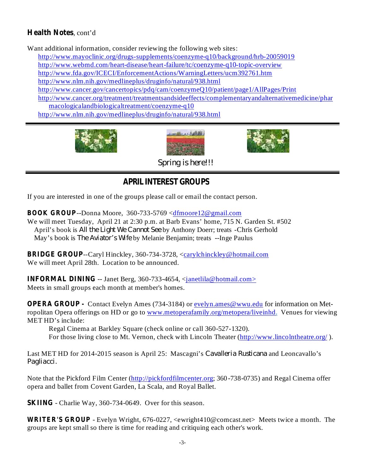## Health Notes, cont'd

Want additional information, consider reviewing the following web sites:

http://www.mayoclinic.org/drugs-supplements/coenzyme-q10/background/hrb-20059019

http://www.webmd.com/heart-disease/heart-failure/tc/coenzyme-q10-topic-overview

http://www.fda.gov/ICECI/EnforcementActions/WarningLetters/ucm392761.htm

http://www.nlm.nih.gov/medlineplus/druginfo/natural/938.html

http://www.cancer.gov/cancertopics/pdq/cam/coenzymeQ10/patient/page1/AllPages/Print

http://www.cancer.org/treatment/treatmentsandsideeffects/complementaryandalternativemedicine/phar macologicalandbiologicaltreatment/coenzyme-q10

http://www.nlm.nih.gov/medlineplus/druginfo/natural/938.html







*Spring is here!!!*

# **APRIL INTEREST GROUPS**

If you are interested in one of the groups please call or email the contact person.

**BOOK GROUP**--Donna Moore, 360-733-5769 <dfmoore12@gmail.com

We will meet Tuesday, April 21 at 2:30 p.m. at Barb Evans' home, 715 N. Garden St. #502 April's book is *All the Light We Cannot See* by Anthony Doerr; treats -Chris Gerhold May's book is *The Aviator's Wife* by Melanie Benjamin; treats --Inge Paulus

**BRIDGE GROUP**--Caryl Hinckley, 360-734-3728, <carylchinckley@hotmail.com We will meet April 28th. Location to be announced.

**INFORMAL DINING** -- Janet Berg, 360-733-4654, <*janetlila@hotmail.com>* Meets in small groups each month at member's homes.

**OPERA GROUP** - Contact Evelyn Ames (734-3184) or evelyn.ames@wwu.edu for information on Metropolitan Opera offerings on HD or go to www.metoperafamily.org/metopera/liveinhd. Venues for viewing MET HD's include:

Regal Cinema at Barkley Square (check online or call 360-527-1320).

For those living close to Mt. Vernon, check with Lincoln Theater (http://www.lincolntheatre.org/).

Last MET HD for 2014-2015 season is April 25: Mascagni's Cavalleria Rusticana and Leoncavallo's *Pagliacci.*

Note that the Pickford Film Center (http://pickfordfilmcenter.org; 360-738-0735) and Regal Cinema offer opera and ballet from Covent Garden, La Scala, and Royal Ballet.

**SKIING** - Charlie Way, 360-734-0649. Over for this season.

**WRITER'S GROUP** - Evelyn Wright, 676-0227, <ewright410@comcast.net> Meets twice a month. The groups are kept small so there is time for reading and critiquing each other's work.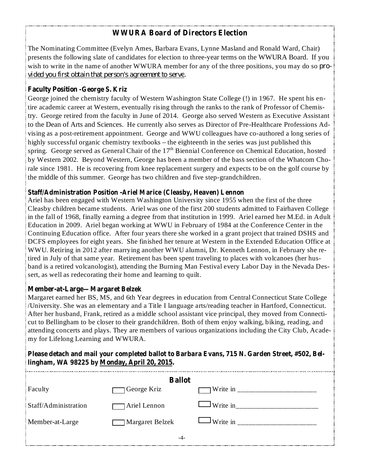## **WWURA Board of Directors Election**

The Nominating Committee (Evelyn Ames, Barbara Evans, Lynne Masland and Ronald Ward, Chair) presents the following slate of candidates for election to three-year terms on the WWURA Board. If you wish to write in the name of another WWURA member for any of the three positions, you may do so *provided you first obtain that person's agreement to serve.*

#### **Faculty Position -George S. Kriz**

George joined the chemistry faculty of Western Washington State College (!) in 1967. He spent his entire academic career at Western, eventually rising through the ranks to the rank of Professor of Chemistry. George retired from the faculty in June of 2014. George also served Western as Executive Assistant to the Dean of Arts and Sciences. He currently also serves as Director of Pre-Healthcare Professions Advising as a post-retirement appointment. George and WWU colleagues have co-authored a long series of highly successful organic chemistry textbooks – the eighteenth in the series was just published this spring. George served as General Chair of the  $17<sup>th</sup>$  Biennial Conference on Chemical Education, hosted by Western 2002. Beyond Western, George has been a member of the bass section of the Whatcom Chorale since 1981. He is recovering from knee replacement surgery and expects to be on the golf course by the middle of this summer. George has two children and five step-grandchildren.

#### **Staff/Administration Position -Ariel Marice (Cleasby, Heaven) Lennon**

Ariel has been engaged with Western Washington University since 1955 when the first of the three Cleasby children became students. Ariel was one of the first 200 students admitted to Fairhaven College in the fall of 1968, finally earning a degree from that institution in 1999. Ariel earned her M.Ed. in Adult Education in 2009. Ariel began working at WWU in February of 1984 at the Conference Center in the Continuing Education office. After four years there she worked in a grant project that trained DSHS and DCFS employees for eight years. She finished her tenure at Western in the Extended Education Office at WWU. Retiring in 2012 after marrying another WWU alumni, Dr. Kenneth Lennon, in February she retired in July of that same year. Retirement has been spent traveling to places with volcanoes (her husband is a retired volcanologist), attending the Burning Man Festival every Labor Day in the Nevada Dessert, as well as redecorating their home and learning to quilt.

#### **Member-at-Large—Margaret Belzek**

Margaret earned her BS, MS, and 6th Year degrees in education from Central Connecticut State College /University. She was an elementary and a Title I language arts/reading teacher in Hartford, Connecticut. After her husband, Frank, retired as a middle school assistant vice principal, they moved from Connecticut to Bellingham to be closer to their grandchildren. Both of them enjoy walking, biking, reading, and attending concerts and plays. They are members of various organizations including the City Club, Academy for Lifelong Learning and WWURA.

### **Please detach and mail your completed ballot to Barbara Evans, 715 N. Garden Street, #502, Bellingham, WA 98225 by Monday, April 20, 2015.**

| <b>Ballot</b>        |                      |                         |  |  |
|----------------------|----------------------|-------------------------|--|--|
| Faculty              | <b>J</b> George Kriz | Write in $\frac{ }{ }$  |  |  |
| Staff/Administration | Ariel Lennon         | $\mathsf{I}$ Write in   |  |  |
| Member-at-Large      | Margaret Belzek      | $\blacksquare$ Write in |  |  |
| -4-                  |                      |                         |  |  |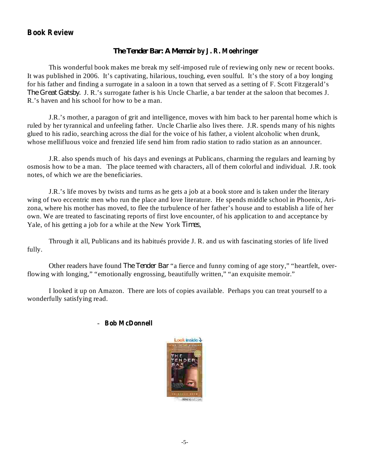### **Book Review**

#### **by J. R. Moehringer** *The Tender Bar: A Memoir*

This wonderful book makes me break my self-imposed rule of reviewing only new or recent books. It was published in 2006. It's captivating, hilarious, touching, even soulful. It's the story of a boy longing for his father and finding a surrogate in a saloon in a town that served as a setting of F. Scott Fitzgerald's The Great Gatsby. J. R.'s surrogate father is his Uncle Charlie, a bar tender at the saloon that becomes J. R.'s haven and his school for how to be a man.

J.R.'s mother, a paragon of grit and intelligence, moves with him back to her parental home which is ruled by her tyrannical and unfeeling father. Uncle Charlie also lives there. J.R. spends many of his nights glued to his radio, searching across the dial for the voice of his father, a violent alcoholic when drunk, whose mellifluous voice and frenzied life send him from radio station to radio station as an announcer.

J.R. also spends much of his days and evenings at Publicans, charming the regulars and learning by osmosis how to be a man. The place teemed with characters, all of them colorful and individual. J.R. took notes, of which we are the beneficiaries.

J.R.'s life moves by twists and turns as he gets a job at a book store and is taken under the literary wing of two eccentric men who run the place and love literature. He spends middle school in Phoenix, Arizona, where his mother has moved, to flee the turbulence of her father's house and to establish a life of her own. We are treated to fascinating reports of first love encounter, of his application to and acceptance by Yale, of his getting a job for a while at the New York Times,

Through it all, Publicans and its habitués provide J. R. and us with fascinating stories of life lived fully.

Other readers have found *The Tender Bar* "a fierce and funny coming of age story," "heartfelt, overflowing with longing," "emotionally engrossing, beautifully written," "an exquisite memoir."

I looked it up on Amazon. There are lots of copies available. Perhaps you can treat yourself to a wonderfully satisfying read.

#### - **Bob McDonnell**